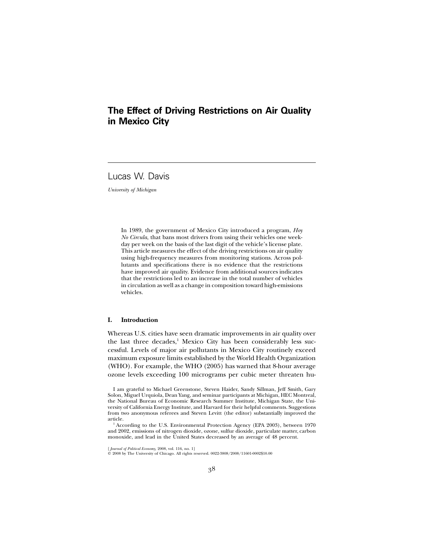# **The Effect of Driving Restrictions on Air Quality in Mexico City**

Lucas W. Davis

*University of Michigan*

In 1989, the government of Mexico City introduced a program, *Hoy No Circula*, that bans most drivers from using their vehicles one weekday per week on the basis of the last digit of the vehicle's license plate. This article measures the effect of the driving restrictions on air quality using high-frequency measures from monitoring stations. Across pollutants and specifications there is no evidence that the restrictions have improved air quality. Evidence from additional sources indicates that the restrictions led to an increase in the total number of vehicles in circulation as well as a change in composition toward high-emissions vehicles.

## **I. Introduction**

Whereas U.S. cities have seen dramatic improvements in air quality over the last three decades,<sup>1</sup> Mexico City has been considerably less successful. Levels of major air pollutants in Mexico City routinely exceed maximum exposure limits established by the World Health Organization (WHO). For example, the WHO (2005) has warned that 8-hour average ozone levels exceeding 100 micrograms per cubic meter threaten hu-

[ *Journal of Political Economy,* 2008, vol. 116, no. 1]

I am grateful to Michael Greenstone, Steven Haider, Sandy Sillman, Jeff Smith, Gary Solon, Miguel Urquiola, Dean Yang, and seminar participants at Michigan, HEC Montreal, the National Bureau of Economic Research Summer Institute, Michigan State, the University of California Energy Institute, and Harvard for their helpful comments. Suggestions from two anonymous referees and Steven Levitt (the editor) substantially improved the article.

<sup>&</sup>lt;sup>1</sup> According to the U.S. Environmental Protection Agency (EPA 2003), between 1970 and 2002, emissions of nitrogen dioxide, ozone, sulfur dioxide, particulate matter, carbon monoxide, and lead in the United States decreased by an average of 48 percent.

2008 by The University of Chicago. All rights reserved. 0022-3808/2008/11601-0002\$10.00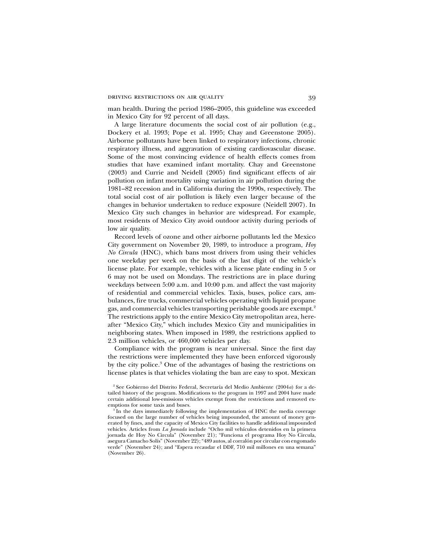#### DRIVING RESTRICTIONS ON AIR QUALITY 39

man health. During the period 1986–2005, this guideline was exceeded in Mexico City for 92 percent of all days.

A large literature documents the social cost of air pollution (e.g., Dockery et al. 1993; Pope et al. 1995; Chay and Greenstone 2005). Airborne pollutants have been linked to respiratory infections, chronic respiratory illness, and aggravation of existing cardiovascular disease. Some of the most convincing evidence of health effects comes from studies that have examined infant mortality. Chay and Greenstone (2003) and Currie and Neidell (2005) find significant effects of air pollution on infant mortality using variation in air pollution during the 1981–82 recession and in California during the 1990s, respectively. The total social cost of air pollution is likely even larger because of the changes in behavior undertaken to reduce exposure (Neidell 2007). In Mexico City such changes in behavior are widespread. For example, most residents of Mexico City avoid outdoor activity during periods of low air quality.

Record levels of ozone and other airborne pollutants led the Mexico City government on November 20, 1989, to introduce a program, *Hoy No Circula* (HNC), which bans most drivers from using their vehicles one weekday per week on the basis of the last digit of the vehicle's license plate. For example, vehicles with a license plate ending in 5 or 6 may not be used on Mondays. The restrictions are in place during weekdays between 5:00 a.m. and 10:00 p.m. and affect the vast majority of residential and commercial vehicles. Taxis, buses, police cars, ambulances, fire trucks, commercial vehicles operating with liquid propane gas, and commercial vehicles transporting perishable goods are exempt.<sup>2</sup> The restrictions apply to the entire Mexico City metropolitan area, hereafter "Mexico City," which includes Mexico City and municipalities in neighboring states. When imposed in 1989, the restrictions applied to 2.3 million vehicles, or 460,000 vehicles per day.

Compliance with the program is near universal. Since the first day the restrictions were implemented they have been enforced vigorously by the city police.3 One of the advantages of basing the restrictions on license plates is that vehicles violating the ban are easy to spot. Mexican

<sup>&</sup>lt;sup>2</sup> See Gobierno del Distrito Federal, Secretaría del Medio Ambiente (2004a) for a detailed history of the program. Modifications to the program in 1997 and 2004 have made certain additional low-emissions vehicles exempt from the restrictions and removed exemptions for some taxis and buses.

 $3$  In the days immediately following the implementation of HNC the media coverage focused on the large number of vehicles being impounded, the amount of money generated by fines, and the capacity of Mexico City facilities to handle additional impounded vehicles. Articles from *La Jornada* include "Ocho mil vehı´culos detenidos en la primera jornada de Hoy No Circula" (November 21); "Funciona el programa Hoy No Circula, asegura Camacho Solís" (November 22); "489 autos, al corralón por circular con engomado verde" (November 24); and "Espera recaudar el DDF, 710 mil millones en una semana" (November 26).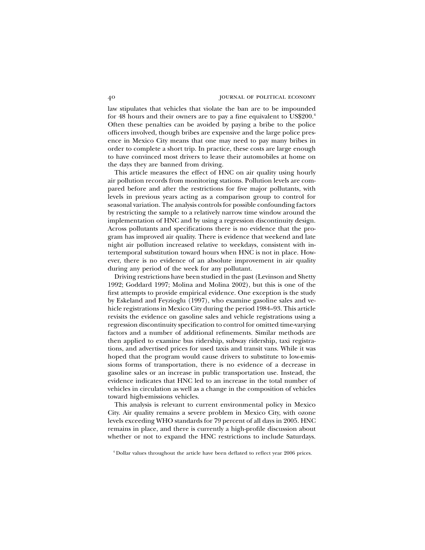law stipulates that vehicles that violate the ban are to be impounded for 48 hours and their owners are to pay a fine equivalent to US\$200.<sup>4</sup> Often these penalties can be avoided by paying a bribe to the police officers involved, though bribes are expensive and the large police presence in Mexico City means that one may need to pay many bribes in order to complete a short trip. In practice, these costs are large enough to have convinced most drivers to leave their automobiles at home on the days they are banned from driving.

This article measures the effect of HNC on air quality using hourly air pollution records from monitoring stations. Pollution levels are compared before and after the restrictions for five major pollutants, with levels in previous years acting as a comparison group to control for seasonal variation. The analysis controls for possible confounding factors by restricting the sample to a relatively narrow time window around the implementation of HNC and by using a regression discontinuity design. Across pollutants and specifications there is no evidence that the program has improved air quality. There is evidence that weekend and late night air pollution increased relative to weekdays, consistent with intertemporal substitution toward hours when HNC is not in place. However, there is no evidence of an absolute improvement in air quality during any period of the week for any pollutant.

Driving restrictions have been studied in the past (Levinson and Shetty 1992; Goddard 1997; Molina and Molina 2002), but this is one of the first attempts to provide empirical evidence. One exception is the study by Eskeland and Feyzioglu (1997), who examine gasoline sales and vehicle registrations in Mexico City during the period 1984–93. This article revisits the evidence on gasoline sales and vehicle registrations using a regression discontinuity specification to control for omitted time-varying factors and a number of additional refinements. Similar methods are then applied to examine bus ridership, subway ridership, taxi registrations, and advertised prices for used taxis and transit vans. While it was hoped that the program would cause drivers to substitute to low-emissions forms of transportation, there is no evidence of a decrease in gasoline sales or an increase in public transportation use. Instead, the evidence indicates that HNC led to an increase in the total number of vehicles in circulation as well as a change in the composition of vehicles toward high-emissions vehicles.

This analysis is relevant to current environmental policy in Mexico City. Air quality remains a severe problem in Mexico City, with ozone levels exceeding WHO standards for 79 percent of all days in 2005. HNC remains in place, and there is currently a high-profile discussion about whether or not to expand the HNC restrictions to include Saturdays.

<sup>4</sup> Dollar values throughout the article have been deflated to reflect year 2006 prices.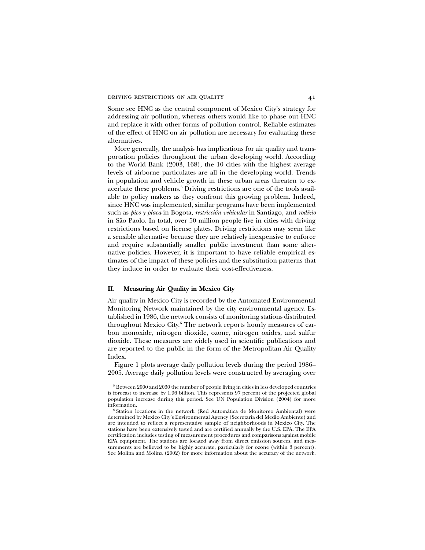Some see HNC as the central component of Mexico City's strategy for addressing air pollution, whereas others would like to phase out HNC and replace it with other forms of pollution control. Reliable estimates of the effect of HNC on air pollution are necessary for evaluating these alternatives.

More generally, the analysis has implications for air quality and transportation policies throughout the urban developing world. According to the World Bank (2003, 168), the 10 cities with the highest average levels of airborne particulates are all in the developing world. Trends in population and vehicle growth in these urban areas threaten to exacerbate these problems.<sup>5</sup> Driving restrictions are one of the tools available to policy makers as they confront this growing problem. Indeed, since HNC was implemented, similar programs have been implemented such as *pico* y *placa* in Bogota, *restricción vehicular* in Santiago, and *rodízio* in São Paolo. In total, over 50 million people live in cities with driving restrictions based on license plates. Driving restrictions may seem like a sensible alternative because they are relatively inexpensive to enforce and require substantially smaller public investment than some alternative policies. However, it is important to have reliable empirical estimates of the impact of these policies and the substitution patterns that they induce in order to evaluate their cost-effectiveness.

#### **II. Measuring Air Quality in Mexico City**

Air quality in Mexico City is recorded by the Automated Environmental Monitoring Network maintained by the city environmental agency. Established in 1986, the network consists of monitoring stations distributed throughout Mexico City.<sup>6</sup> The network reports hourly measures of carbon monoxide, nitrogen dioxide, ozone, nitrogen oxides, and sulfur dioxide. These measures are widely used in scientific publications and are reported to the public in the form of the Metropolitan Air Quality Index.

Figure 1 plots average daily pollution levels during the period 1986– 2005. Average daily pollution levels were constructed by averaging over

 $^{\rm 5}$  Between 2000 and 2030 the number of people living in cities in less developed countries is forecast to increase by 1.96 billion. This represents 97 percent of the projected global population increase during this period. See UN Population Division (2004) for more information.

 $6$  Station locations in the network (Red Automática de Monitoreo Ambiental) were determined by Mexico City's Environmental Agency (Secretarı´a del Medio Ambiente) and are intended to reflect a representative sample of neighborhoods in Mexico City. The stations have been extensively tested and are certified annually by the U.S. EPA. The EPA certification includes testing of measurement procedures and comparisons against mobile EPA equipment. The stations are located away from direct emission sources, and measurements are believed to be highly accurate, particularly for ozone (within 3 percent). See Molina and Molina (2002) for more information about the accuracy of the network.